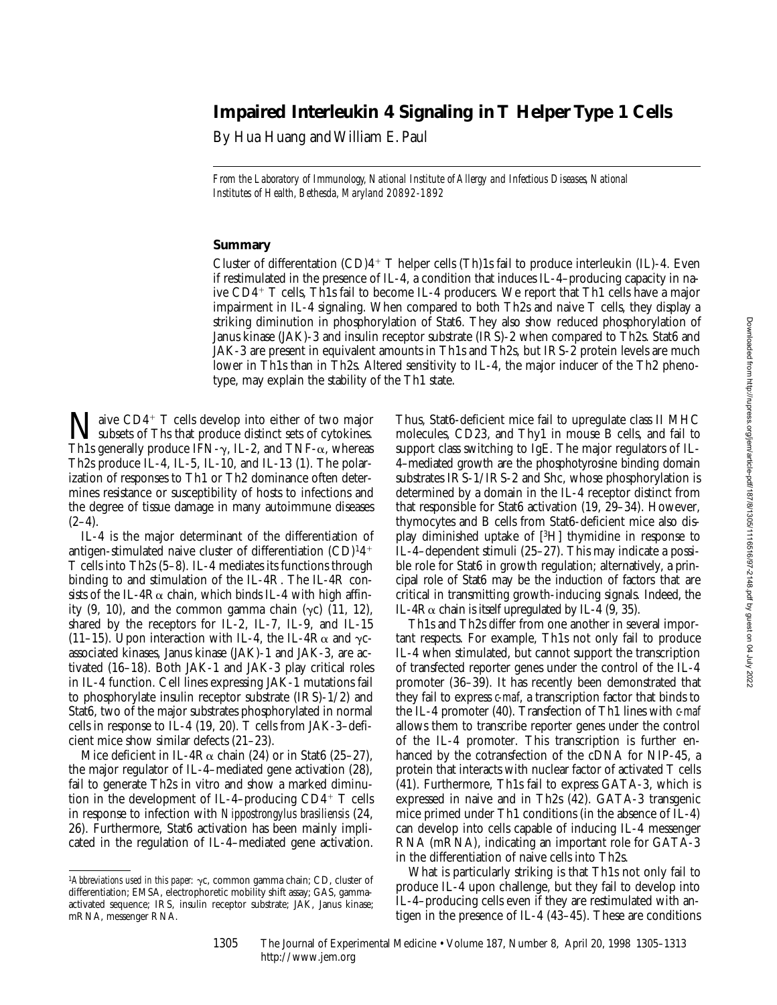# **Impaired Interleukin 4 Signaling in T Helper Type 1 Cells**

By Hua Huang and William E. Paul

*From the Laboratory of Immunology, National Institute of Allergy and Infectious Diseases, National Institutes of Health, Bethesda, Maryland 20892-1892*

## **Summary**

Cluster of differentation  $(CD)4$ <sup>+</sup> T helper cells (Th)1s fail to produce interleukin (IL)-4. Even if restimulated in the presence of IL-4, a condition that induces IL-4–producing capacity in naive CD4<sup>+</sup> T cells, Th1s fail to become IL-4 producers. We report that Th1 cells have a major impairment in IL-4 signaling. When compared to both Th2s and naive T cells, they display a striking diminution in phosphorylation of Stat6. They also show reduced phosphorylation of Janus kinase (JAK)-3 and insulin receptor substrate (IRS)-2 when compared to Th2s. Stat6 and JAK-3 are present in equivalent amounts in Th1s and Th2s, but IRS-2 protein levels are much lower in Th1s than in Th2s. Altered sensitivity to IL-4, the major inducer of the Th2 phenotype, may explain the stability of the Th1 state.

 $\sum$  aive CD4<sup>+</sup> T cells develop into either of two major<br>subsets of Ths that produce distinct sets of cytokines. Th1s generally produce IFN- $\gamma$ , IL-2, and TNF- $\alpha$ , whereas Th2s produce IL-4, IL-5, IL-10, and IL-13 (1). The polarization of responses to Th1 or Th2 dominance often determines resistance or susceptibility of hosts to infections and the degree of tissue damage in many autoimmune diseases  $(2-4)$ .

IL-4 is the major determinant of the differentiation of antigen-stimulated naive cluster of differentiation  $(CD)^{1}4^{+}$ T cells into Th2s (5–8). IL-4 mediates its functions through binding to and stimulation of the IL-4R. The IL-4R consists of the IL-4R $\alpha$  chain, which binds IL-4 with high affinity  $(9, 10)$ , and the common gamma chain  $(\gamma c)$   $(11, 12)$ , shared by the receptors for IL-2, IL-7, IL-9, and IL-15 (11–15). Upon interaction with IL-4, the IL-4 $R\alpha$  and  $\gamma c$ associated kinases, Janus kinase (JAK)-1 and JAK-3, are activated (16–18). Both JAK-1 and JAK-3 play critical roles in IL-4 function. Cell lines expressing JAK-1 mutations fail to phosphorylate insulin receptor substrate (IRS)-1/2) and Stat6, two of the major substrates phosphorylated in normal cells in response to IL-4 (19, 20). T cells from JAK-3–deficient mice show similar defects (21–23).

Mice deficient in IL-4R $\alpha$  chain (24) or in Stat6 (25–27), the major regulator of IL-4–mediated gene activation (28), fail to generate Th2s in vitro and show a marked diminution in the development of IL-4–producing  $CD4^+$  T cells in response to infection with *Nippostrongylus brasiliensis* (24, 26). Furthermore, Stat6 activation has been mainly implicated in the regulation of IL-4–mediated gene activation.

Thus, Stat6-deficient mice fail to upregulate class II MHC molecules, CD23, and Thy1 in mouse B cells, and fail to support class switching to IgE. The major regulators of IL-4–mediated growth are the phosphotyrosine binding domain substrates IRS-1/IRS-2 and Shc, whose phosphorylation is determined by a domain in the IL-4 receptor distinct from that responsible for Stat6 activation (19, 29–34). However, thymocytes and B cells from Stat6-deficient mice also display diminished uptake of [3H] thymidine in response to IL-4–dependent stimuli (25–27). This may indicate a possible role for Stat6 in growth regulation; alternatively, a principal role of Stat6 may be the induction of factors that are critical in transmitting growth-inducing signals. Indeed, the IL-4 $R\alpha$  chain is itself upregulated by IL-4 (9, 35).

Th1s and Th2s differ from one another in several important respects. For example, Th1s not only fail to produce IL-4 when stimulated, but cannot support the transcription of transfected reporter genes under the control of the IL-4 promoter (36–39). It has recently been demonstrated that they fail to express *c-maf*, a transcription factor that binds to the IL-4 promoter (40). Transfection of Th1 lines with *c-maf* allows them to transcribe reporter genes under the control of the IL-4 promoter. This transcription is further enhanced by the cotransfection of the cDNA for NIP-45, a protein that interacts with nuclear factor of activated T cells (41). Furthermore, Th1s fail to express GATA-3, which is expressed in naive and in Th2s (42). GATA-3 transgenic mice primed under Th1 conditions (in the absence of IL-4) can develop into cells capable of inducing IL-4 messenger RNA (mRNA), indicating an important role for GATA-3 in the differentiation of naive cells into Th2s.

What is particularly striking is that Th1s not only fail to produce IL-4 upon challenge, but they fail to develop into IL-4–producing cells even if they are restimulated with antigen in the presence of IL-4 (43–45). These are conditions

<sup>&</sup>lt;sup>1</sup>Abbreviations used in this paper:  $\gamma c$ , common gamma chain; CD, cluster of differentiation; EMSA, electrophoretic mobility shift assay; GAS, gammaactivated sequence; IRS, insulin receptor substrate; JAK, Janus kinase; mRNA, messenger RNA.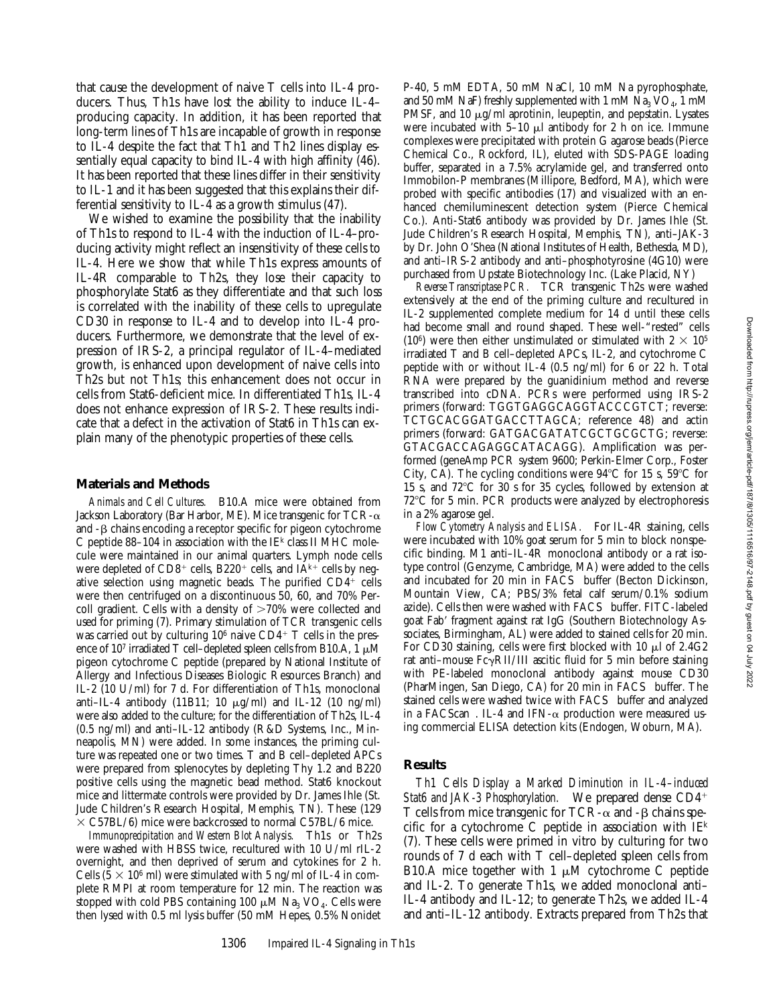that cause the development of naive T cells into IL-4 producers. Thus, Th1s have lost the ability to induce IL-4– producing capacity. In addition, it has been reported that long-term lines of Th1s are incapable of growth in response to IL-4 despite the fact that Th1 and Th2 lines display essentially equal capacity to bind IL-4 with high affinity (46). It has been reported that these lines differ in their sensitivity to IL-1 and it has been suggested that this explains their differential sensitivity to IL-4 as a growth stimulus (47).

We wished to examine the possibility that the inability of Th1s to respond to IL-4 with the induction of IL-4–producing activity might reflect an insensitivity of these cells to IL-4. Here we show that while Th1s express amounts of IL-4R comparable to Th2s, they lose their capacity to phosphorylate Stat6 as they differentiate and that such loss is correlated with the inability of these cells to upregulate CD30 in response to IL-4 and to develop into IL-4 producers. Furthermore, we demonstrate that the level of expression of IRS-2, a principal regulator of IL-4–mediated growth, is enhanced upon development of naive cells into Th2s but not Th1s; this enhancement does not occur in cells from Stat6-deficient mice. In differentiated Th1s, IL-4 does not enhance expression of IRS-2. These results indicate that a defect in the activation of Stat6 in Th1s can explain many of the phenotypic properties of these cells.

#### **Materials and Methods**

*Animals and Cell Cultures.* B10.A mice were obtained from Jackson Laboratory (Bar Harbor, ME). Mice transgenic for TCR- $\alpha$ and  $-\beta$  chains encoding a receptor specific for pigeon cytochrome C peptide  $88-104$  in association with the IE<sup>k</sup> class II MHC molecule were maintained in our animal quarters. Lymph node cells were depleted of  $CD8^+$  cells, B220<sup>+</sup> cells, and IA<sup>k+</sup> cells by negative selection using magnetic beads. The purified  $CD4^+$  cells were then centrifuged on a discontinuous 50, 60, and 70% Percoll gradient. Cells with a density of  $>70\%$  were collected and used for priming (7). Primary stimulation of TCR transgenic cells was carried out by culturing  $10^6$  naive CD4<sup>+</sup> T cells in the presence of 10<sup>7</sup> irradiated T cell–depleted spleen cells from B10.A, 1  $\mu$ M pigeon cytochrome C peptide (prepared by National Institute of Allergy and Infectious Diseases Biologic Resources Branch) and IL-2 (10 U/ml) for 7 d. For differentiation of Th1s, monoclonal anti–IL-4 antibody (11B11; 10  $\mu$ g/ml) and IL-12 (10 ng/ml) were also added to the culture; for the differentiation of Th2s, IL-4 (0.5 ng/ml) and anti–IL-12 antibody (R&D Systems, Inc., Minneapolis, MN) were added. In some instances, the priming culture was repeated one or two times. T and B cell–depleted APCs were prepared from splenocytes by depleting Thy 1.2 and B220 positive cells using the magnetic bead method. Stat6 knockout mice and littermate controls were provided by Dr. James Ihle (St. Jude Children's Research Hospital, Memphis, TN). These (129  $\times$  C57BL/6) mice were backcrossed to normal C57BL/6 mice.

*Immunoprecipitation and Western Blot Analysis.* Th1s or Th2s were washed with HBSS twice, recultured with 10 U/ml rIL-2 overnight, and then deprived of serum and cytokines for 2 h. Cells ( $5 \times 10^6$  ml) were stimulated with 5 ng/ml of IL-4 in complete RMPI at room temperature for 12 min. The reaction was stopped with cold PBS containing 100  $\mu$ M Na<sub>3</sub> VO<sub>4</sub>. Cells were then lysed with 0.5 ml lysis buffer (50 mM Hepes, 0.5% Nonidet

P-40, 5 mM EDTA, 50 mM NaCl, 10 mM Na pyrophosphate, and 50 mM NaF) freshly supplemented with 1 mM  $\text{Na}_3 \text{VO}_4$ , 1 mM PMSF, and 10  $\mu$ g/ml aprotinin, leupeptin, and pepstatin. Lysates were incubated with  $5-10 \mu l$  antibody for 2 h on ice. Immune complexes were precipitated with protein G agarose beads (Pierce Chemical Co., Rockford, IL), eluted with SDS-PAGE loading buffer, separated in a 7.5% acrylamide gel, and transferred onto Immobilon-P membranes (Millipore, Bedford, MA), which were probed with specific antibodies (17) and visualized with an enhanced chemiluminescent detection system (Pierce Chemical Co.). Anti-Stat6 antibody was provided by Dr. James Ihle (St. Jude Children's Research Hospital, Memphis, TN), anti–JAK-3 by Dr. John O'Shea (National Institutes of Health, Bethesda, MD), and anti–IRS-2 antibody and anti–phosphotyrosine (4G10) were purchased from Upstate Biotechnology Inc. (Lake Placid, NY)

*Reverse Transcriptase PCR.* TCR transgenic Th2s were washed extensively at the end of the priming culture and recultured in IL-2 supplemented complete medium for 14 d until these cells had become small and round shaped. These well-"rested" cells (10<sup>6</sup>) were then either unstimulated or stimulated with  $2 \times 10^5$ irradiated T and B cell–depleted APCs, IL-2, and cytochrome C peptide with or without IL-4 (0.5 ng/ml) for 6 or 22 h. Total RNA were prepared by the guanidinium method and reverse transcribed into cDNA. PCRs were performed using IRS-2 primers (forward: TGGTGAGGCAGGTACCCGTCT; reverse: TCTGCACGGATGACCTTAGCA; reference 48) and actin primers (forward: GATGACGATATCGCTGCGCTG; reverse: GTACGACCAGAGGCATACAGG). Amplification was performed (geneAmp PCR system 9600; Perkin-Elmer Corp., Foster City, CA). The cycling conditions were  $94^{\circ}$ C for 15 s,  $59^{\circ}$ C for 15 s, and  $72^{\circ}$ C for 30 s for 35 cycles, followed by extension at 72°C for 5 min. PCR products were analyzed by electrophoresis in a 2% agarose gel.

*Flow Cytometry Analysis and ELISA.* For IL-4R staining, cells were incubated with 10% goat serum for 5 min to block nonspecific binding. M1 anti–IL-4R monoclonal antibody or a rat isotype control (Genzyme, Cambridge, MA) were added to the cells and incubated for 20 min in FACS® buffer (Becton Dickinson, Mountain View, CA; PBS/3% fetal calf serum/0.1% sodium azide). Cells then were washed with FACS® buffer. FITC-labeled goat Fab' fragment against rat IgG (Southern Biotechnology Associates, Birmingham, AL) were added to stained cells for 20 min. For CD30 staining, cells were first blocked with  $10 \mu$  of 2.4G2 rat anti-mouse  $Fc\gamma RII/III$  ascitic fluid for 5 min before staining with PE-labeled monoclonal antibody against mouse CD30 (PharMingen, San Diego, CA) for 20 min in  $FACS^{\otimes}$  buffer. The stained cells were washed twice with FACS<sup>®</sup> buffer and analyzed in a FACScan<sup>®</sup>. IL-4 and IFN- $\alpha$  production were measured using commercial ELISA detection kits (Endogen, Woburn, MA).

#### **Results**

*Th1 Cells Display a Marked Diminution in IL-4–induced* Stat6 and JAK-3 Phosphorylation. We prepared dense CD4<sup>+</sup> T cells from mice transgenic for  $TCR-\alpha$  and  $-\beta$  chains specific for a cytochrome C peptide in association with  $I\to$ (7). These cells were primed in vitro by culturing for two rounds of 7 d each with T cell–depleted spleen cells from B10.A mice together with 1  $\mu$ M cytochrome C peptide and IL-2. To generate Th1s, we added monoclonal anti– IL-4 antibody and IL-12; to generate Th2s, we added IL-4 and anti–IL-12 antibody. Extracts prepared from Th2s that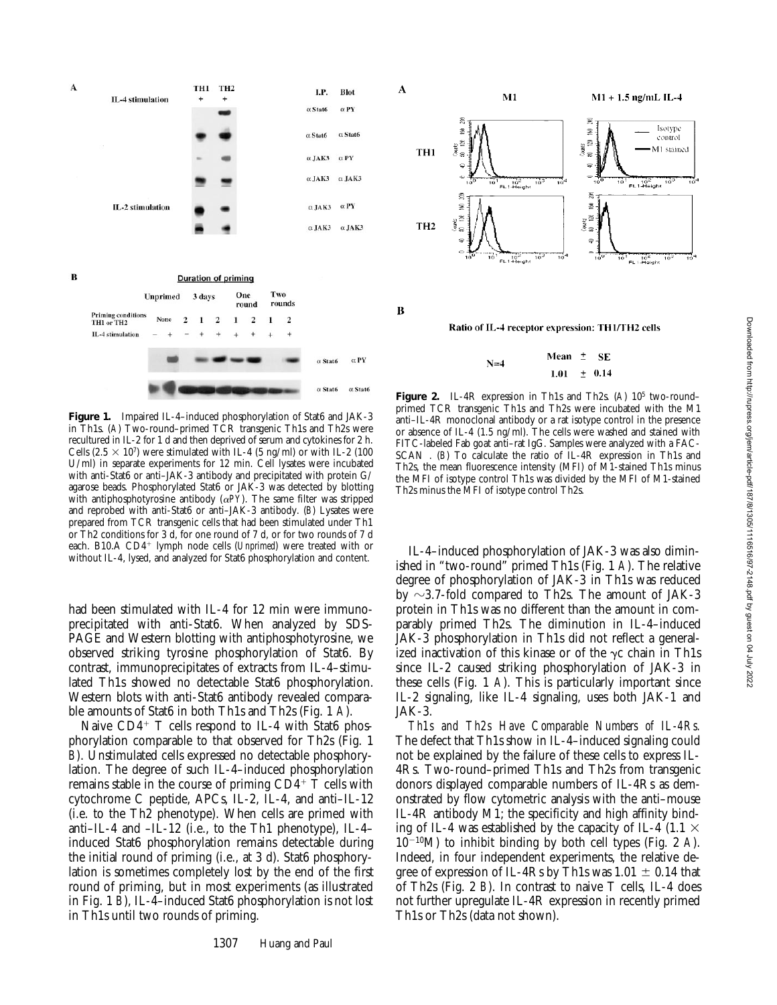

**Figure 1.** Impaired IL-4–induced phosphorylation of Stat6 and JAK-3 in Th1s. (*A*) Two-round–primed TCR transgenic Th1s and Th2s were recultured in IL-2 for 1 d and then deprived of serum and cytokines for 2 h. Cells  $(2.5 \times 10^7)$  were stimulated with IL-4 (5 ng/ml) or with IL-2 (100 U/ml) in separate experiments for 12 min. Cell lysates were incubated with anti-Stat6 or anti–JAK-3 antibody and precipitated with protein G/ agarose beads. Phosphorylated Stat6 or JAK-3 was detected by blotting with antiphosphotyrosine antibody  $(\alpha PY)$ . The same filter was stripped and reprobed with anti-Stat6 or anti–JAK-3 antibody. (*B*) Lysates were prepared from TCR transgenic cells that had been stimulated under Th1 or Th2 conditions for 3 d, for one round of 7 d, or for two rounds of 7 d each. B10.A CD4<sup>+</sup> lymph node cells (*Unprimed*) were treated with or without IL-4, lysed, and analyzed for Stat6 phosphorylation and content.

had been stimulated with IL-4 for 12 min were immunoprecipitated with anti-Stat6. When analyzed by SDS-PAGE and Western blotting with antiphosphotyrosine, we observed striking tyrosine phosphorylation of Stat6. By contrast, immunoprecipitates of extracts from IL-4–stimulated Th1s showed no detectable Stat6 phosphorylation. Western blots with anti-Stat6 antibody revealed comparable amounts of Stat6 in both Th1s and Th2s (Fig. 1 *A*).

Naive  $CD4^+$  T cells respond to IL-4 with Stat6 phosphorylation comparable to that observed for Th2s (Fig. 1 *B*). Unstimulated cells expressed no detectable phosphorylation. The degree of such IL-4–induced phosphorylation remains stable in the course of priming  $CD4^+$  T cells with cytochrome C peptide, APCs, IL-2, IL-4, and anti–IL-12 (i.e. to the Th2 phenotype). When cells are primed with anti–IL-4 and –IL-12 (i.e., to the Th1 phenotype), IL-4– induced Stat6 phosphorylation remains detectable during the initial round of priming (i.e., at 3 d). Stat6 phosphorylation is sometimes completely lost by the end of the first round of priming, but in most experiments (as illustrated in Fig. 1 *B*), IL-4–induced Stat6 phosphorylation is not lost in Th1s until two rounds of priming.



Ratio of IL-4 receptor expression: TH1/TH2 cells

 $\, {\bf B}$ 

Mean  $\pm$ - SE  $N=4$ 1.01  $\pm$  0.14

**Figure 2.** IL-4R expression in Th1s and Th2s. (*A*) 105 two-round– primed TCR transgenic Th1s and Th2s were incubated with the M1 anti–IL-4R monoclonal antibody or a rat isotype control in the presence or absence of IL-4 (1.5 ng/ml). The cells were washed and stained with FITC-labeled Fab goat anti–rat IgG. Samples were analyzed with a FAC-SCAN<sup>®</sup>. (*B*) To calculate the ratio of IL-4R expression in Th1s and Th2s, the mean fluorescence intensity (MFI) of M1-stained Th1s minus the MFI of isotype control Th1s was divided by the MFI of M1-stained Th2s minus the MFI of isotype control Th2s.

IL-4–induced phosphorylation of JAK-3 was also diminished in "two-round" primed Th1s (Fig. 1 *A*). The relative degree of phosphorylation of JAK-3 in Th1s was reduced by  $\sim$ 3.7-fold compared to Th2s. The amount of JAK-3 protein in Th1s was no different than the amount in comparably primed Th2s. The diminution in IL-4–induced JAK-3 phosphorylation in Th1s did not reflect a generalized inactivation of this kinase or of the  $\gamma c$  chain in Th1s since IL-2 caused striking phosphorylation of JAK-3 in these cells (Fig. 1 *A*). This is particularly important since IL-2 signaling, like IL-4 signaling, uses both JAK-1 and JAK-3.

*Th1s and Th2s Have Comparable Numbers of IL-4Rs.* The defect that Th1s show in IL-4–induced signaling could not be explained by the failure of these cells to express IL-4Rs. Two-round–primed Th1s and Th2s from transgenic donors displayed comparable numbers of IL-4Rs as demonstrated by flow cytometric analysis with the anti–mouse IL-4R antibody M1; the specificity and high affinity binding of IL-4 was established by the capacity of IL-4 (1.1  $\times$  $10^{-10}$ M) to inhibit binding by both cell types (Fig. 2 *A*). Indeed, in four independent experiments, the relative degree of expression of IL-4Rs by Th1s was  $1.01 \pm 0.14$  that of Th2s (Fig. 2 *B*). In contrast to naive T cells, IL-4 does not further upregulate IL-4R expression in recently primed Th1s or Th2s (data not shown).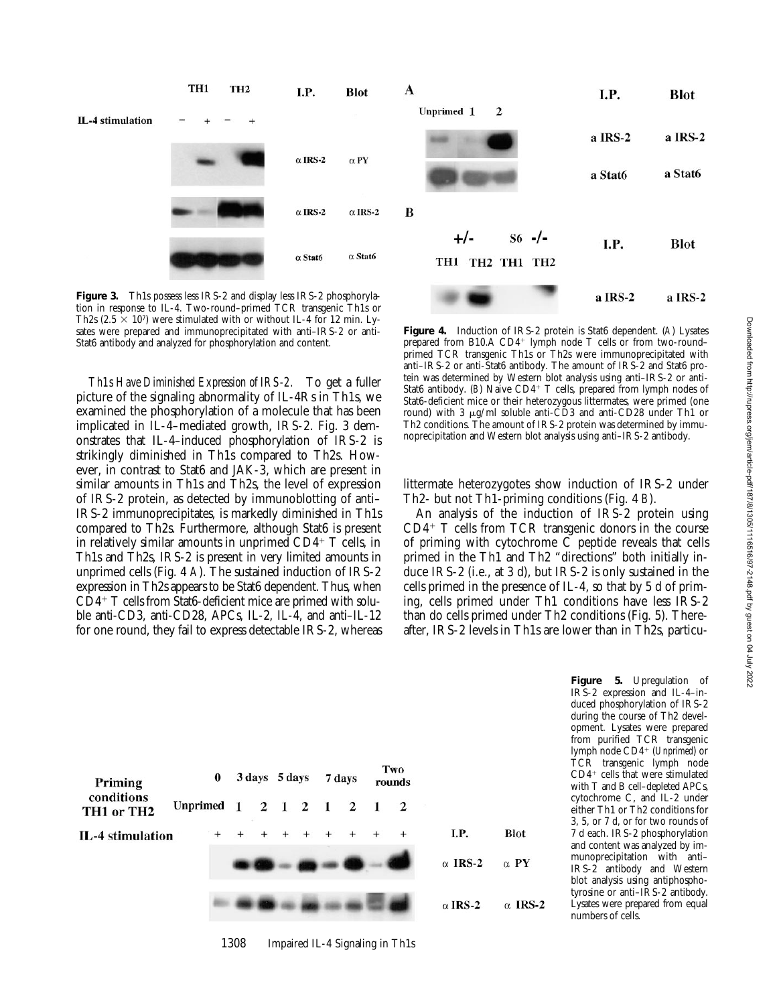Downloaded from http://rupress.org/jem/article-pdf/187/8/1305/1116516/97-2148.pdf by guest on 04 July 2022

Downloaded from http://rupress.org/jem/article-pdf/187/8/1305/1116516/97-2148.pdf by guest on 04 July 2022



**Figure 3.** Th1s possess less IRS-2 and display less IRS-2 phosphorylation in response to IL-4. Two-round–primed TCR transgenic Th1s or Th2s (2.5  $\times$  10<sup>7</sup>) were stimulated with or without IL-4 for 12 min. Lysates were prepared and immunoprecipitated with anti–IRS-2 or anti-Stat6 antibody and analyzed for phosphorylation and content.

*Th1s Have Diminished Expression of IRS-2.* To get a fuller picture of the signaling abnormality of IL-4Rs in Th1s, we examined the phosphorylation of a molecule that has been implicated in IL-4–mediated growth, IRS-2. Fig. 3 demonstrates that IL-4–induced phosphorylation of IRS-2 is strikingly diminished in Th1s compared to Th2s. However, in contrast to Stat6 and JAK-3, which are present in similar amounts in Th1s and Th2s, the level of expression of IRS-2 protein, as detected by immunoblotting of anti– IRS-2 immunoprecipitates, is markedly diminished in Th1s compared to Th2s. Furthermore, although Stat6 is present in relatively similar amounts in unprimed  $CD4+T$  cells, in Th1s and Th2s, IRS-2 is present in very limited amounts in unprimed cells (Fig. 4 *A*). The sustained induction of IRS-2 expression in Th2s appears to be Stat6 dependent. Thus, when  $CD4+T$  cells from Stat6-deficient mice are primed with soluble anti-CD3, anti-CD28, APCs, IL-2, IL-4, and anti–IL-12 for one round, they fail to express detectable IRS-2, whereas

**Figure 4.** Induction of IRS-2 protein is Stat6 dependent. (*A*) Lysates prepared from B10.A CD4+ lymph node T cells or from two-round– primed TCR transgenic Th1s or Th2s were immunoprecipitated with anti–IRS-2 or anti-Stat6 antibody. The amount of IRS-2 and Stat6 protein was determined by Western blot analysis using anti–IRS-2 or anti-Stat6 antibody. (B) Naive CD4<sup>+</sup> T cells, prepared from lymph nodes of Stat6-deficient mice or their heterozygous littermates, were primed (one round) with 3 µg/ml soluble anti-CD3 and anti-CD28 under Th1 or Th2 conditions. The amount of IRS-2 protein was determined by immunoprecipitation and Western blot analysis using anti–IRS-2 antibody.

a IRS-2

littermate heterozygotes show induction of IRS-2 under Th2- but not Th1-priming conditions (Fig. 4 *B*).

An analysis of the induction of IRS-2 protein using  $CD4<sup>+</sup>$  T cells from TCR transgenic donors in the course of priming with cytochrome  $\overline{C}$  peptide reveals that cells primed in the Th1 and Th2 "directions" both initially induce IRS-2 (i.e., at 3 d), but IRS-2 is only sustained in the cells primed in the presence of IL-4, so that by 5 d of priming, cells primed under Th1 conditions have less IRS-2 than do cells primed under Th2 conditions (Fig. 5). Thereafter, IRS-2 levels in Th1s are lower than in Th2s, particu-

| Priming<br>conditions<br>TH1 or TH2 | $\bf{0}$   |  | 3 days 5 days |  |  |  | 7 days |             | Two<br>rounds |                |                |                |
|-------------------------------------|------------|--|---------------|--|--|--|--------|-------------|---------------|----------------|----------------|----------------|
|                                     | Unprimed 1 |  |               |  |  |  |        | 2 1 2 1 2 1 |               | $\overline{2}$ |                |                |
| IL-4 stimulation                    |            |  |               |  |  |  |        |             |               | $^{+}$         | I.P.           | <b>Blot</b>    |
|                                     |            |  |               |  |  |  |        |             |               |                | $\alpha$ IRS-2 | $\alpha$ PY    |
|                                     |            |  |               |  |  |  |        |             |               |                | $\alpha$ IRS-2 | $\alpha$ IRS-2 |

1308 Impaired IL-4 Signaling in Th1s

**Figure 5.** Upregulation of IRS-2 expression and IL-4–induced phosphorylation of IRS-2 during the course of Th2 development. Lysates were prepared from purified TCR transgenic lymph node CD4<sup>+</sup> (*Unprimed*) or TCR transgenic lymph node  $CD4^+$  cells that were stimulated with T and B cell–depleted APCs, cytochrome C, and IL-2 under either Th1 or Th2 conditions for 3, 5, or 7 d, or for two rounds of 7 d each. IRS-2 phosphorylation and content was analyzed by immunoprecipitation with anti– IRS-2 antibody and Western blot analysis using antiphosphotyrosine or anti–IRS-2 antibody. Lysates were prepared from equal numbers of cells.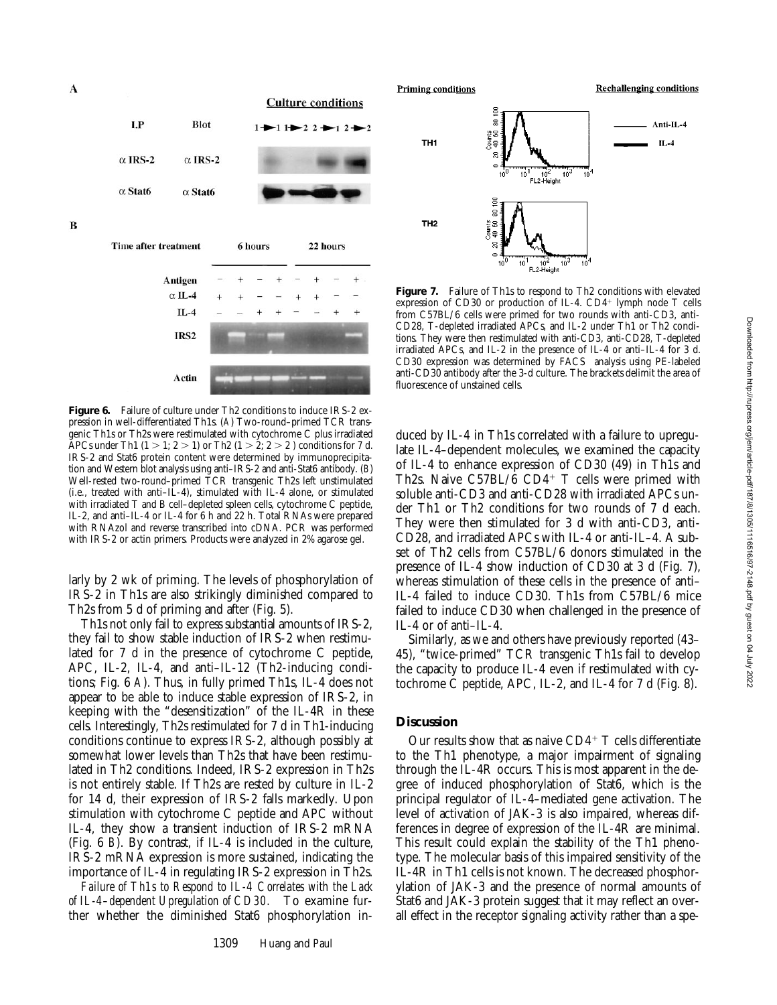



**Figure 6.** Failure of culture under Th2 conditions to induce IRS-2 expression in well-differentiated Th1s. (*A*) Two-round–primed TCR transgenic Th1s or Th2s were restimulated with cytochrome C plus irradiated APCs under Th1  $(1 > 1; 2 > 1)$  or Th2  $(1 > 2; 2 > 2)$  conditions for 7 d. IRS-2 and Stat6 protein content were determined by immunoprecipitation and Western blot analysis using anti–IRS-2 and anti-Stat6 antibody. (*B*) Well-rested two-round–primed TCR transgenic Th2s left unstimulated (i.e., treated with anti–IL-4), stimulated with IL-4 alone, or stimulated with irradiated T and B cell–depleted spleen cells, cytochrome C peptide, IL-2, and anti–IL-4 or IL-4 for 6 h and 22 h. Total RNAs were prepared with RNAzol and reverse transcribed into cDNA. PCR was performed with IRS-2 or actin primers. Products were analyzed in 2% agarose gel.

larly by 2 wk of priming. The levels of phosphorylation of IRS-2 in Th1s are also strikingly diminished compared to Th2s from 5 d of priming and after (Fig. 5).

Th1s not only fail to express substantial amounts of IRS-2, they fail to show stable induction of IRS-2 when restimulated for 7 d in the presence of cytochrome C peptide, APC, IL-2, IL-4, and anti–IL-12 (Th2-inducing conditions; Fig. 6 *A*). Thus, in fully primed Th1s, IL-4 does not appear to be able to induce stable expression of IRS-2, in keeping with the "desensitization" of the IL-4R in these cells. Interestingly, Th2s restimulated for 7 d in Th1-inducing conditions continue to express IRS-2, although possibly at somewhat lower levels than Th2s that have been restimulated in Th2 conditions. Indeed, IRS-2 expression in Th2s is not entirely stable. If Th2s are rested by culture in IL-2 for 14 d, their expression of IRS-2 falls markedly. Upon stimulation with cytochrome C peptide and APC without IL-4, they show a transient induction of IRS-2 mRNA (Fig. 6 *B*). By contrast, if IL-4 is included in the culture, IRS-2 mRNA expression is more sustained, indicating the importance of IL-4 in regulating IRS-2 expression in Th2s.

*Failure of Th1s to Respond to IL-4 Correlates with the Lack of IL-4–dependent Upregulation of CD30.* To examine further whether the diminished Stat6 phosphorylation in-





Figure 7. Failure of Th1s to respond to Th2 conditions with elevated expression of CD30 or production of IL-4.  $CD4^+$  lymph node T cells from C57BL/6 cells were primed for two rounds with anti-CD3, anti-CD28, T-depleted irradiated APCs, and IL-2 under Th1 or Th2 conditions. They were then restimulated with anti-CD3, anti-CD28, T-depleted irradiated APCs, and IL-2 in the presence of IL-4 or anti–IL-4 for 3 d. CD30 expression was determined by FACS® analysis using PE-labeled anti-CD30 antibody after the 3-d culture. The brackets delimit the area of fluorescence of unstained cells.

duced by IL-4 in Th1s correlated with a failure to upregulate IL-4–dependent molecules, we examined the capacity of IL-4 to enhance expression of CD30 (49) in Th1s and Th2s. Naive  $C57BL/6$  CD4<sup>+</sup> T cells were primed with soluble anti-CD3 and anti-CD28 with irradiated APCs under Th1 or Th2 conditions for two rounds of 7 d each. They were then stimulated for 3 d with anti-CD3, anti-CD28, and irradiated APCs with IL-4 or anti-IL–4. A subset of Th2 cells from C57BL/6 donors stimulated in the presence of IL-4 show induction of CD30 at 3 d (Fig. 7), whereas stimulation of these cells in the presence of anti– IL-4 failed to induce CD30. Th1s from C57BL/6 mice failed to induce CD30 when challenged in the presence of IL-4 or of anti–IL-4.

Similarly, as we and others have previously reported (43– 45), "twice-primed" TCR transgenic Th1s fail to develop the capacity to produce IL-4 even if restimulated with cytochrome C peptide, APC, IL-2, and IL-4 for 7 d (Fig. 8).

### **Discussion**

Our results show that as naive  $CD4^+$  T cells differentiate to the Th1 phenotype, a major impairment of signaling through the IL-4R occurs. This is most apparent in the degree of induced phosphorylation of Stat6, which is the principal regulator of IL-4–mediated gene activation. The level of activation of JAK-3 is also impaired, whereas differences in degree of expression of the IL-4R are minimal. This result could explain the stability of the Th1 phenotype. The molecular basis of this impaired sensitivity of the IL-4R in Th1 cells is not known. The decreased phosphorylation of JAK-3 and the presence of normal amounts of Stat6 and JAK-3 protein suggest that it may reflect an overall effect in the receptor signaling activity rather than a spe-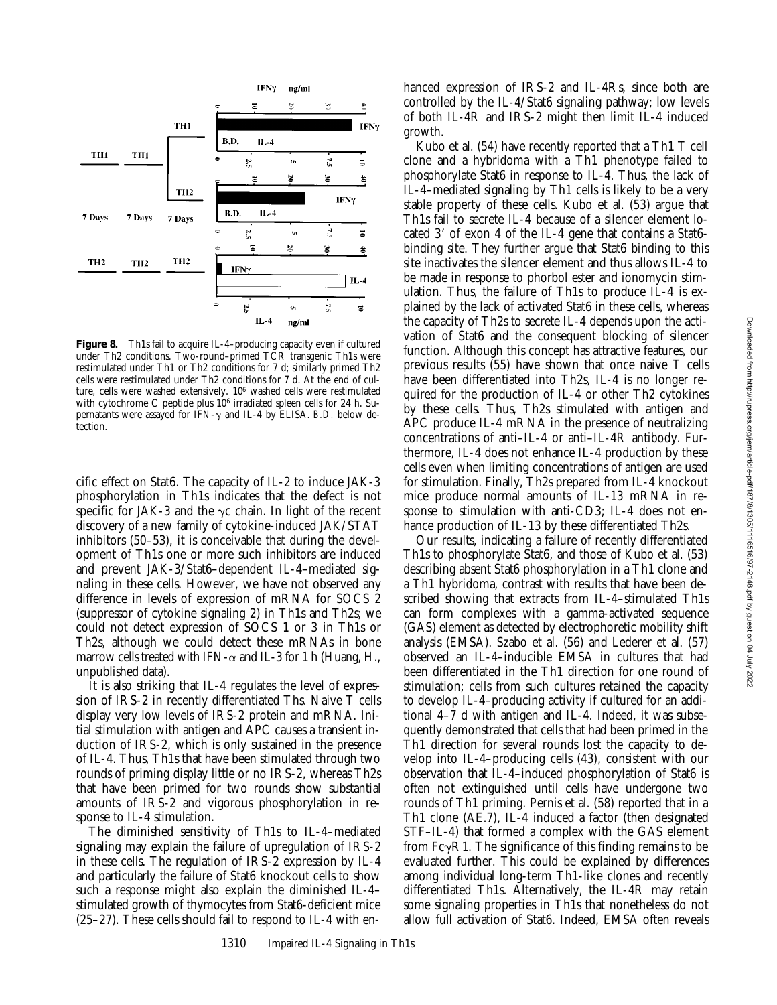

**Figure 8.** Th1s fail to acquire IL-4–producing capacity even if cultured under Th2 conditions. Two-round–primed TCR transgenic Th1s were restimulated under Th1 or Th2 conditions for 7 d; similarly primed Th2 cells were restimulated under Th2 conditions for 7 d. At the end of culture, cells were washed extensively. 106 washed cells were restimulated with cytochrome C peptide plus 106 irradiated spleen cells for 24 h. Supernatants were assayed for IFN-g and IL-4 by ELISA. *B.D.* below detection.

cific effect on Stat6. The capacity of IL-2 to induce JAK-3 phosphorylation in Th1s indicates that the defect is not specific for JAK-3 and the  $\gamma c$  chain. In light of the recent discovery of a new family of cytokine-induced JAK/STAT inhibitors (50–53), it is conceivable that during the development of Th1s one or more such inhibitors are induced and prevent JAK-3/Stat6–dependent IL-4–mediated signaling in these cells. However, we have not observed any difference in levels of expression of mRNA for SOCS 2 (suppressor of cytokine signaling 2) in Th1s and Th2s; we could not detect expression of SOCS 1 or 3 in Th1s or Th2s, although we could detect these mRNAs in bone marrow cells treated with IFN- $\alpha$  and IL-3 for 1 h (Huang, H., unpublished data).

It is also striking that IL-4 regulates the level of expression of IRS-2 in recently differentiated Ths. Naive T cells display very low levels of IRS-2 protein and mRNA. Initial stimulation with antigen and APC causes a transient induction of IRS-2, which is only sustained in the presence of IL-4. Thus, Th1s that have been stimulated through two rounds of priming display little or no IRS-2, whereas Th2s that have been primed for two rounds show substantial amounts of IRS-2 and vigorous phosphorylation in response to IL-4 stimulation.

The diminished sensitivity of Th1s to IL-4–mediated signaling may explain the failure of upregulation of IRS-2 in these cells. The regulation of IRS-2 expression by IL-4 and particularly the failure of Stat6 knockout cells to show such a response might also explain the diminished IL-4– stimulated growth of thymocytes from Stat6-deficient mice (25–27). These cells should fail to respond to IL-4 with enhanced expression of IRS-2 and IL-4Rs, since both are controlled by the IL-4/Stat6 signaling pathway; low levels of both IL-4R and IRS-2 might then limit IL-4 induced growth.

Kubo et al. (54) have recently reported that a Th1 T cell clone and a hybridoma with a Th1 phenotype failed to phosphorylate Stat6 in response to IL-4. Thus, the lack of IL-4–mediated signaling by Th1 cells is likely to be a very stable property of these cells. Kubo et al. (53) argue that Th1s fail to secrete IL-4 because of a silencer element located 3' of exon 4 of the IL-4 gene that contains a Stat6binding site. They further argue that Stat6 binding to this site inactivates the silencer element and thus allows IL-4 to be made in response to phorbol ester and ionomycin stimulation. Thus, the failure of Th1s to produce IL-4 is explained by the lack of activated Stat6 in these cells, whereas the capacity of Th2s to secrete IL-4 depends upon the activation of Stat6 and the consequent blocking of silencer function. Although this concept has attractive features, our previous results (55) have shown that once naive T cells have been differentiated into Th2s, IL-4 is no longer required for the production of IL-4 or other Th2 cytokines by these cells. Thus, Th2s stimulated with antigen and APC produce IL-4 mRNA in the presence of neutralizing concentrations of anti–IL-4 or anti–IL-4R antibody. Furthermore, IL-4 does not enhance IL-4 production by these cells even when limiting concentrations of antigen are used for stimulation. Finally, Th2s prepared from IL-4 knockout mice produce normal amounts of IL-13 mRNA in response to stimulation with anti-CD3; IL-4 does not enhance production of IL-13 by these differentiated Th2s.

Our results, indicating a failure of recently differentiated Th1s to phosphorylate Stat6, and those of Kubo et al. (53) describing absent Stat6 phosphorylation in a Th1 clone and a Th1 hybridoma, contrast with results that have been described showing that extracts from IL-4–stimulated Th1s can form complexes with a gamma-activated sequence (GAS) element as detected by electrophoretic mobility shift analysis (EMSA). Szabo et al. (56) and Lederer et al. (57) observed an IL-4–inducible EMSA in cultures that had been differentiated in the Th1 direction for one round of stimulation; cells from such cultures retained the capacity to develop IL-4–producing activity if cultured for an additional 4–7 d with antigen and IL-4. Indeed, it was subsequently demonstrated that cells that had been primed in the Th1 direction for several rounds lost the capacity to develop into IL-4–producing cells (43), consistent with our observation that IL-4–induced phosphorylation of Stat6 is often not extinguished until cells have undergone two rounds of Th1 priming. Pernis et al. (58) reported that in a Th1 clone (AE.7), IL-4 induced a factor (then designated STF–IL-4) that formed a complex with the GAS element from  $Fc\gamma R1$ . The significance of this finding remains to be evaluated further. This could be explained by differences among individual long-term Th1-like clones and recently differentiated Th1s. Alternatively, the IL-4R may retain some signaling properties in Th1s that nonetheless do not allow full activation of Stat6. Indeed, EMSA often reveals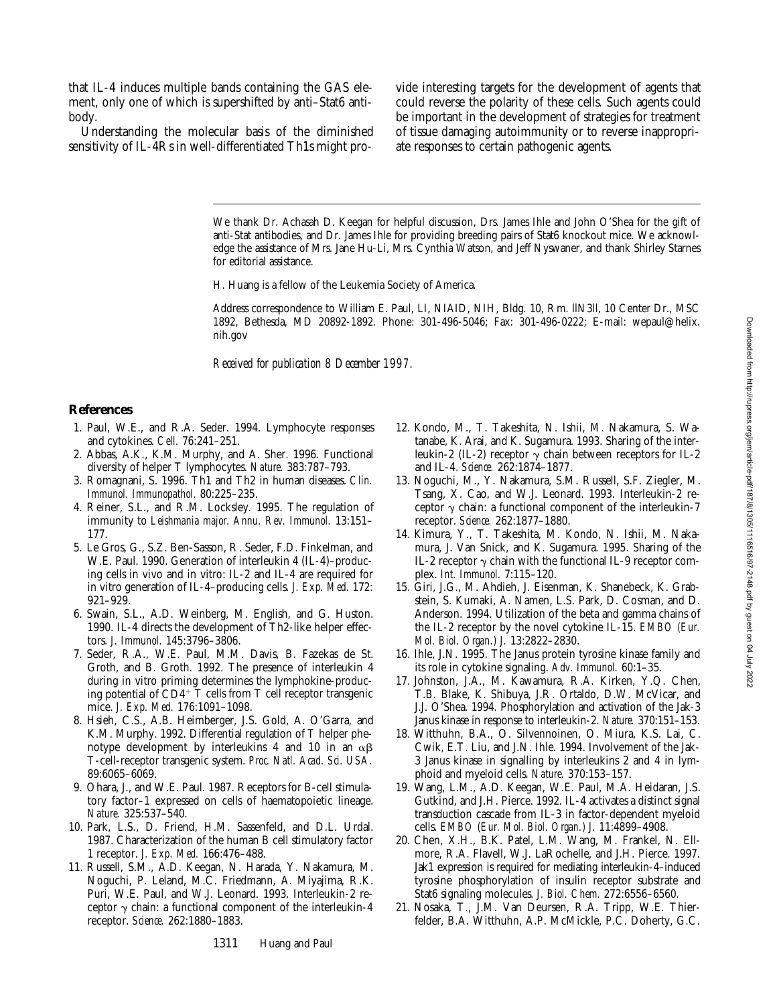that IL-4 induces multiple bands containing the GAS element, only one of which is supershifted by anti–Stat6 antibody.

Understanding the molecular basis of the diminished sensitivity of IL-4Rs in well-differentiated Th1s might pro-

vide interesting targets for the development of agents that could reverse the polarity of these cells. Such agents could be important in the development of strategies for treatment of tissue damaging autoimmunity or to reverse inappropriate responses to certain pathogenic agents.

We thank Dr. Achasah D. Keegan for helpful discussion, Drs. James Ihle and John O'Shea for the gift of anti-Stat antibodies, and Dr. James Ihle for providing breeding pairs of Stat6 knockout mice. We acknowledge the assistance of Mrs. Jane Hu-Li, Mrs. Cynthia Watson, and Jeff Nyswaner, and thank Shirley Starnes for editorial assistance.

H. Huang is a fellow of the Leukemia Society of America.

Address correspondence to William E. Paul, LI, NIAID, NIH, Bldg. 10, Rm. llN3ll, 10 Center Dr., MSC 1892, Bethesda, MD 20892-1892. Phone: 301-496-5046; Fax: 301-496-0222; E-mail: wepaul@helix. nih.gov

*Received for publication 8 December 1997.*

#### **References**

- 1. Paul, W.E., and R.A. Seder. 1994. Lymphocyte responses and cytokines. *Cell.* 76:241–251.
- 2. Abbas, A.K., K.M. Murphy, and A. Sher. 1996. Functional diversity of helper T lymphocytes. *Nature.* 383:787–793.
- 3. Romagnani, S. 1996. Th1 and Th2 in human diseases. *Clin. Immunol. Immunopathol.* 80:225–235.
- 4. Reiner, S.L., and R.M. Locksley. 1995. The regulation of immunity to *Leishmania major*. *Annu. Rev. Immunol.* 13:151– 177.
- 5. Le Gros, G., S.Z. Ben-Sasson, R. Seder, F.D. Finkelman, and W.E. Paul. 1990. Generation of interleukin 4 (IL-4)–producing cells in vivo and in vitro: IL-2 and IL-4 are required for in vitro generation of IL-4–producing cells. *J. Exp. Med.* 172: 921–929.
- 6. Swain, S.L., A.D. Weinberg, M. English, and G. Huston. 1990. IL-4 directs the development of Th2-like helper effectors. *J. Immunol.* 145:3796–3806.
- 7. Seder, R.A., W.E. Paul, M.M. Davis, B. Fazekas de St. Groth, and B. Groth. 1992. The presence of interleukin 4 during in vitro priming determines the lymphokine-producing potential of  $CD4+T$  cells from T cell receptor transgenic mice. *J. Exp. Med.* 176:1091–1098.
- 8. Hsieh, C.S., A.B. Heimberger, J.S. Gold, A. O'Garra, and K.M. Murphy. 1992. Differential regulation of T helper phenotype development by interleukins 4 and 10 in an  $\alpha\beta$ T-cell-receptor transgenic system. *Proc. Natl. Acad. Sci. USA.* 89:6065–6069.
- 9. Ohara, J., and W.E. Paul. 1987. Receptors for B-cell stimulatory factor–1 expressed on cells of haematopoietic lineage. *Nature.* 325:537–540.
- 10. Park, L.S., D. Friend, H.M. Sassenfeld, and D.L. Urdal. 1987. Characterization of the human B cell stimulatory factor 1 receptor. *J. Exp. Med.* 166:476–488.
- 11. Russell, S.M., A.D. Keegan, N. Harada, Y. Nakamura, M. Noguchi, P. Leland, M.C. Friedmann, A. Miyajima, R.K. Puri, W.E. Paul, and W.J. Leonard. 1993. Interleukin-2 receptor  $\gamma$  chain: a functional component of the interleukin-4 receptor. *Science.* 262:1880–1883.
- 12. Kondo, M., T. Takeshita, N. Ishii, M. Nakamura, S. Watanabe, K. Arai, and K. Sugamura. 1993. Sharing of the interleukin-2 (IL-2) receptor  $\gamma$  chain between receptors for IL-2 and IL-4. *Science.* 262:1874–1877.
- 13. Noguchi, M., Y. Nakamura, S.M. Russell, S.F. Ziegler, M. Tsang, X. Cao, and W.J. Leonard. 1993. Interleukin-2 receptor  $\gamma$  chain: a functional component of the interleukin-7 receptor. *Science.* 262:1877–1880.
- 14. Kimura, Y., T. Takeshita, M. Kondo, N. Ishii, M. Nakamura, J. Van Snick, and K. Sugamura. 1995. Sharing of the IL-2 receptor  $\gamma$  chain with the functional IL-9 receptor complex. *Int. Immunol.* 7:115–120.
- 15. Giri, J.G., M. Ahdieh, J. Eisenman, K. Shanebeck, K. Grabstein, S. Kumaki, A. Namen, L.S. Park, D. Cosman, and D. Anderson. 1994. Utilization of the beta and gamma chains of the IL-2 receptor by the novel cytokine IL-15. *EMBO (Eur. Mol. Biol. Organ.) J.* 13:2822–2830.
- 16. Ihle, J.N. 1995. The Janus protein tyrosine kinase family and its role in cytokine signaling. *Adv. Immunol.* 60:1–35.
- 17. Johnston, J.A., M. Kawamura, R.A. Kirken, Y.Q. Chen, T.B. Blake, K. Shibuya, J.R. Ortaldo, D.W. McVicar, and J.J. O'Shea. 1994. Phosphorylation and activation of the Jak-3 Janus kinase in response to interleukin-2. *Nature.* 370:151–153.
- 18. Witthuhn, B.A., O. Silvennoinen, O. Miura, K.S. Lai, C. Cwik, E.T. Liu, and J.N. Ihle. 1994. Involvement of the Jak-3 Janus kinase in signalling by interleukins 2 and 4 in lymphoid and myeloid cells. *Nature.* 370:153–157.
- 19. Wang, L.M., A.D. Keegan, W.E. Paul, M.A. Heidaran, J.S. Gutkind, and J.H. Pierce. 1992. IL-4 activates a distinct signal transduction cascade from IL-3 in factor-dependent myeloid cells. *EMBO (Eur. Mol. Biol. Organ.) J.* 11:4899–4908.
- 20. Chen, X.H., B.K. Patel, L.M. Wang, M. Frankel, N. Ellmore, R.A. Flavell, W.J. LaRochelle, and J.H. Pierce. 1997. Jak1 expression is required for mediating interleukin-4–induced tyrosine phosphorylation of insulin receptor substrate and Stat6 signaling molecules. *J. Biol. Chem.* 272:6556–6560.
- 21. Nosaka, T., J.M. Van Deursen, R.A. Tripp, W.E. Thierfelder, B.A. Witthuhn, A.P. McMickle, P.C. Doherty, G.C.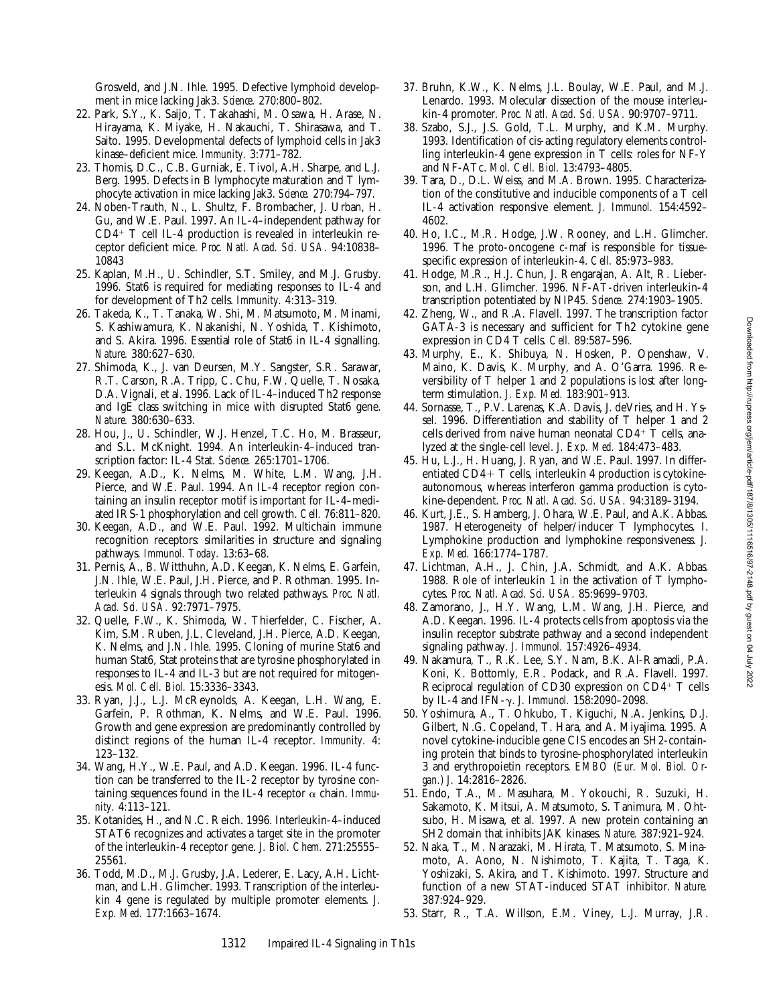Grosveld, and J.N. Ihle. 1995. Defective lymphoid development in mice lacking Jak3. *Science.* 270:800–802.

- 22. Park, S.Y., K. Saijo, T. Takahashi, M. Osawa, H. Arase, N. Hirayama, K. Miyake, H. Nakauchi, T. Shirasawa, and T. Saito. 1995. Developmental defects of lymphoid cells in Jak3 kinase–deficient mice. *Immunity.* 3:771–782.
- 23. Thomis, D.C., C.B. Gurniak, E. Tivol, A.H. Sharpe, and L.J. Berg. 1995. Defects in B lymphocyte maturation and T lymphocyte activation in mice lacking Jak3. *Science.* 270:794–797.
- 24. Noben-Trauth, N., L. Shultz, F. Brombacher, J. Urban, H. Gu, and W.E. Paul. 1997. An IL-4–independent pathway for  $CD4$ <sup>+</sup> T cell IL-4 production is revealed in interleukin receptor deficient mice. *Proc. Natl. Acad. Sci. USA.* 94:10838– 10843
- 25. Kaplan, M.H., U. Schindler, S.T. Smiley, and M.J. Grusby. 1996. Stat6 is required for mediating responses to IL-4 and for development of Th2 cells. *Immunity.* 4:313–319.
- 26. Takeda, K., T. Tanaka, W. Shi, M. Matsumoto, M. Minami, S. Kashiwamura, K. Nakanishi, N. Yoshida, T. Kishimoto, and S. Akira. 1996. Essential role of Stat6 in IL-4 signalling. *Nature.* 380:627–630.
- 27. Shimoda, K., J. van Deursen, M.Y. Sangster, S.R. Sarawar, R.T. Carson, R.A. Tripp, C. Chu, F.W. Quelle, T. Nosaka, D.A. Vignali, et al. 1996. Lack of IL-4–induced Th2 response and IgE class switching in mice with disrupted Stat6 gene. *Nature.* 380:630–633.
- 28. Hou, J., U. Schindler, W.J. Henzel, T.C. Ho, M. Brasseur, and S.L. McKnight. 1994. An interleukin-4–induced transcription factor: IL-4 Stat. *Science.* 265:1701–1706.
- 29. Keegan, A.D., K. Nelms, M. White, L.M. Wang, J.H. Pierce, and W.E. Paul. 1994. An IL-4 receptor region containing an insulin receptor motif is important for IL-4–mediated IRS-1 phosphorylation and cell growth. *Cell.* 76:811–820.
- 30. Keegan, A.D., and W.E. Paul. 1992. Multichain immune recognition receptors: similarities in structure and signaling pathways. *Immunol. Today.* 13:63–68.
- 31. Pernis, A., B. Witthuhn, A.D. Keegan, K. Nelms, E. Garfein, J.N. Ihle, W.E. Paul, J.H. Pierce, and P. Rothman. 1995. Interleukin 4 signals through two related pathways. *Proc. Natl. Acad. Sci. USA.* 92:7971–7975.
- 32. Quelle, F.W., K. Shimoda, W. Thierfelder, C. Fischer, A. Kim, S.M. Ruben, J.L. Cleveland, J.H. Pierce, A.D. Keegan, K. Nelms, and J.N. Ihle. 1995. Cloning of murine Stat6 and human Stat6, Stat proteins that are tyrosine phosphorylated in responses to IL-4 and IL-3 but are not required for mitogenesis. *Mol. Cell. Biol.* 15:3336–3343.
- 33. Ryan, J.J., L.J. McReynolds, A. Keegan, L.H. Wang, E. Garfein, P. Rothman, K. Nelms, and W.E. Paul. 1996. Growth and gene expression are predominantly controlled by distinct regions of the human IL-4 receptor. *Immunity.* 4: 123–132.
- 34. Wang, H.Y., W.E. Paul, and A.D. Keegan. 1996. IL-4 function can be transferred to the IL-2 receptor by tyrosine containing sequences found in the IL-4 receptor  $\alpha$  chain. *Immunity.* 4:113–121.
- 35. Kotanides, H., and N.C. Reich. 1996. Interleukin-4–induced STAT6 recognizes and activates a target site in the promoter of the interleukin-4 receptor gene. *J. Biol. Chem.* 271:25555– 25561.
- 36. Todd, M.D., M.J. Grusby, J.A. Lederer, E. Lacy, A.H. Lichtman, and L.H. Glimcher. 1993. Transcription of the interleukin 4 gene is regulated by multiple promoter elements. *J. Exp. Med.* 177:1663–1674.
- 37. Bruhn, K.W., K. Nelms, J.L. Boulay, W.E. Paul, and M.J. Lenardo. 1993. Molecular dissection of the mouse interleukin-4 promoter. *Proc. Natl. Acad. Sci. USA.* 90:9707–9711.
- 38. Szabo, S.J., J.S. Gold, T.L. Murphy, and K.M. Murphy. 1993. Identification of cis-acting regulatory elements controlling interleukin-4 gene expression in T cells: roles for NF-Y and NF-ATc. *Mol. Cell. Biol.* 13:4793–4805.
- 39. Tara, D., D.L. Weiss, and M.A. Brown. 1995. Characterization of the constitutive and inducible components of a T cell IL-4 activation responsive element. *J. Immunol.* 154:4592– 4602.
- 40. Ho, I.C., M.R. Hodge, J.W. Rooney, and L.H. Glimcher. 1996. The proto-oncogene c-maf is responsible for tissuespecific expression of interleukin-4. *Cell.* 85:973–983.
- 41. Hodge, M.R., H.J. Chun, J. Rengarajan, A. Alt, R. Lieberson, and L.H. Glimcher. 1996. NF-AT-driven interleukin-4 transcription potentiated by NIP45. *Science.* 274:1903–1905.
- 42. Zheng, W., and R.A. Flavell. 1997. The transcription factor GATA-3 is necessary and sufficient for Th2 cytokine gene expression in CD4 T cells. *Cell.* 89:587–596.
- 43. Murphy, E., K. Shibuya, N. Hosken, P. Openshaw, V. Maino, K. Davis, K. Murphy, and A. O'Garra. 1996. Reversibility of T helper 1 and 2 populations is lost after longterm stimulation. *J. Exp. Med.* 183:901–913.
- 44. Sornasse, T., P.V. Larenas, K.A. Davis, J. deVries, and H. Yssel. 1996. Differentiation and stability of T helper 1 and 2 cells derived from naive human neonatal  $CD4^+$  T cells, analyzed at the single-cell level. *J. Exp. Med.* 184:473–483.
- 45. Hu, L.J., H. Huang, J. Ryan, and W.E. Paul. 1997. In differentiated  $CD4+T$  cells, interleukin 4 production is cytokineautonomous, whereas interferon gamma production is cytokine-dependent. *Proc. Natl. Acad. Sci. USA.* 94:3189–3194.
- 46. Kurt, J.E., S. Hamberg, J. Ohara, W.E. Paul, and A.K. Abbas. 1987. Heterogeneity of helper/inducer T lymphocytes. I. Lymphokine production and lymphokine responsiveness. *J. Exp. Med.* 166:1774–1787.
- 47. Lichtman, A.H., J. Chin, J.A. Schmidt, and A.K. Abbas. 1988. Role of interleukin 1 in the activation of T lymphocytes. *Proc. Natl. Acad. Sci. USA.* 85:9699–9703.
- 48. Zamorano, J., H.Y. Wang, L.M. Wang, J.H. Pierce, and A.D. Keegan. 1996. IL-4 protects cells from apoptosis via the insulin receptor substrate pathway and a second independent signaling pathway. *J. Immunol.* 157:4926–4934.
- 49. Nakamura, T., R.K. Lee, S.Y. Nam, B.K. Al-Ramadi, P.A. Koni, K. Bottomly, E.R. Podack, and R.A. Flavell. 1997. Reciprocal regulation of CD30 expression on  $CD4^+$  T cells by IL-4 and IFN-g. *J. Immunol.* 158:2090–2098.
- 50. Yoshimura, A., T. Ohkubo, T. Kiguchi, N.A. Jenkins, D.J. Gilbert, N.G. Copeland, T. Hara, and A. Miyajima. 1995. A novel cytokine-inducible gene CIS encodes an SH2-containing protein that binds to tyrosine-phosphorylated interleukin 3 and erythropoietin receptors. *EMBO (Eur. Mol. Biol. Organ.) J.* 14:2816–2826.
- 51. Endo, T.A., M. Masuhara, M. Yokouchi, R. Suzuki, H. Sakamoto, K. Mitsui, A. Matsumoto, S. Tanimura, M. Ohtsubo, H. Misawa, et al. 1997. A new protein containing an SH2 domain that inhibits JAK kinases. *Nature.* 387:921–924.
- 52. Naka, T., M. Narazaki, M. Hirata, T. Matsumoto, S. Minamoto, A. Aono, N. Nishimoto, T. Kajita, T. Taga, K. Yoshizaki, S. Akira, and T. Kishimoto. 1997. Structure and function of a new STAT-induced STAT inhibitor. *Nature.* 387:924–929.
- 53. Starr, R., T.A. Willson, E.M. Viney, L.J. Murray, J.R.